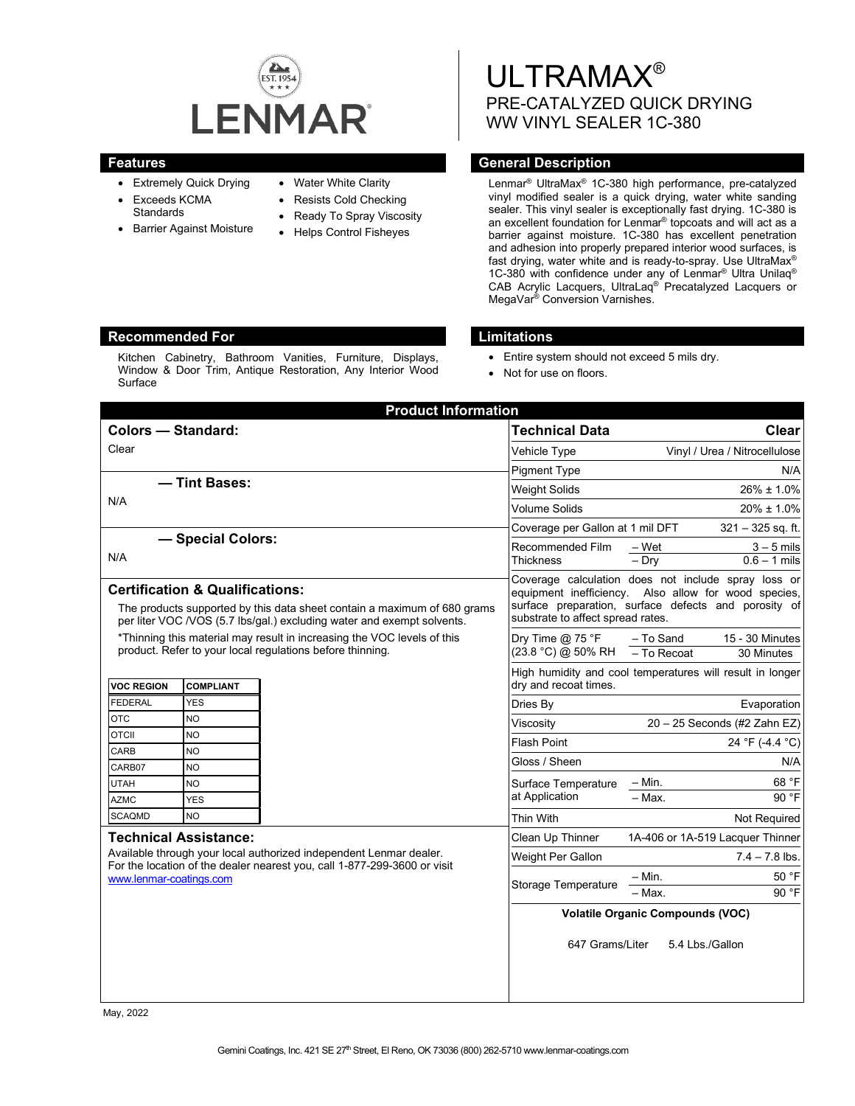

- Extremely Quick Drying
- Exceeds KCMA
- **Standards**
- Barrier Against Moisture
- Water White Clarity
- Resists Cold Checking
- Ready To Spray Viscosity
- Helps Control Fisheyes

# ULTRAMAX® PRE-CATALYZED QUICK DRYING WW VINYL SEALER 1C-380

# **Features General Description**

Lenmar® UltraMax® 1C-380 high performance, pre-catalyzed vinyl modified sealer is a quick drying, water white sanding sealer. This vinyl sealer is exceptionally fast drying. 1C-380 is an excellent foundation for Lenmar® topcoats and will act as a barrier against moisture. 1C-380 has excellent penetration and adhesion into properly prepared interior wood surfaces, is fast drying, water white and is ready-to-spray. Use UltraMax® 1C-380 with confidence under any of Lenmar<sup>®</sup> Ultra Unilaq<sup>®</sup> CAB Acrylic Lacquers, UltraLaq® Precatalyzed Lacquers or MegaVar® Conversion Varnishes.

# **Recommended For Limitations**

Kitchen Cabinetry, Bathroom Vanities, Furniture, Displays, Window & Door Trim, Antique Restoration, Any Interior Wood Surface

- Entire system should not exceed 5 mils dry.
- Not for use on floors.

| <b>Product Information</b>                                                                                                                                                                                |                        |                                                                                    |                                                                                                                                                                                                          |                                                             |
|-----------------------------------------------------------------------------------------------------------------------------------------------------------------------------------------------------------|------------------------|------------------------------------------------------------------------------------|----------------------------------------------------------------------------------------------------------------------------------------------------------------------------------------------------------|-------------------------------------------------------------|
| <b>Colors - Standard:</b>                                                                                                                                                                                 |                        |                                                                                    | <b>Technical Data</b>                                                                                                                                                                                    | <b>Clear</b>                                                |
| Clear                                                                                                                                                                                                     |                        |                                                                                    | Vehicle Type                                                                                                                                                                                             | Vinyl / Urea / Nitrocellulose                               |
|                                                                                                                                                                                                           |                        |                                                                                    | <b>Pigment Type</b>                                                                                                                                                                                      | N/A                                                         |
| - Tint Bases:<br>N/A                                                                                                                                                                                      |                        |                                                                                    | <b>Weight Solids</b>                                                                                                                                                                                     | $26\% \pm 1.0\%$                                            |
|                                                                                                                                                                                                           |                        |                                                                                    | Volume Solids                                                                                                                                                                                            | $20\% \pm 1.0\%$                                            |
|                                                                                                                                                                                                           |                        |                                                                                    | Coverage per Gallon at 1 mil DFT<br>$321 - 325$ sq. ft.                                                                                                                                                  |                                                             |
| - Special Colors:                                                                                                                                                                                         |                        |                                                                                    | Recommended Film<br>– Wet                                                                                                                                                                                | $3 - 5$ mils                                                |
| N/A                                                                                                                                                                                                       |                        |                                                                                    | Thickness                                                                                                                                                                                                | $0.6 - 1$ mils<br>$-$ Dry                                   |
| <b>Certification &amp; Qualifications:</b><br>The products supported by this data sheet contain a maximum of 680 grams<br>per liter VOC /VOS (5.7 lbs/gal.) excluding water and exempt solvents.          |                        |                                                                                    | Coverage calculation does not include spray loss or<br>equipment inefficiency. Also allow for wood species,<br>surface preparation, surface defects and porosity of<br>substrate to affect spread rates. |                                                             |
| *Thinning this material may result in increasing the VOC levels of this<br>product. Refer to your local regulations before thinning.                                                                      |                        |                                                                                    | Dry Time $@$ 75 °F<br>(23.8 °C) @ 50% RH                                                                                                                                                                 | 15 - 30 Minutes<br>- To Sand<br>$-$ To Recoat<br>30 Minutes |
| <b>VOC REGION</b><br><b>COMPLIANT</b>                                                                                                                                                                     |                        | High humidity and cool temperatures will result in longer<br>dry and recoat times. |                                                                                                                                                                                                          |                                                             |
| <b>FEDERAL</b>                                                                                                                                                                                            | <b>YES</b>             |                                                                                    | Dries By                                                                                                                                                                                                 | Evaporation                                                 |
| <b>OTC</b>                                                                                                                                                                                                | <b>NO</b>              |                                                                                    | Viscositv                                                                                                                                                                                                | $20 - 25$ Seconds (#2 Zahn EZ)                              |
| <b>OTCII</b>                                                                                                                                                                                              | <b>NO</b>              |                                                                                    | <b>Flash Point</b>                                                                                                                                                                                       | 24 °F (-4.4 °C)                                             |
| CARB<br>CARB07                                                                                                                                                                                            | <b>NO</b><br><b>NO</b> |                                                                                    | Gloss / Sheen                                                                                                                                                                                            | N/A                                                         |
| <b>UTAH</b>                                                                                                                                                                                               | <b>NO</b>              |                                                                                    | Surface Temperature                                                                                                                                                                                      | 68 °F<br>$-$ Min.                                           |
| <b>AZMC</b>                                                                                                                                                                                               | <b>YES</b>             |                                                                                    | at Application                                                                                                                                                                                           | $-$ Max.<br>90 °F                                           |
| <b>SCAQMD</b>                                                                                                                                                                                             | <b>NO</b>              |                                                                                    | Thin With                                                                                                                                                                                                | Not Required                                                |
| <b>Technical Assistance:</b><br>Available through your local authorized independent Lenmar dealer.<br>For the location of the dealer nearest you, call 1-877-299-3600 or visit<br>www.lenmar-coatings.com |                        |                                                                                    | Clean Up Thinner                                                                                                                                                                                         | 1A-406 or 1A-519 Lacquer Thinner                            |
|                                                                                                                                                                                                           |                        |                                                                                    | Weight Per Gallon                                                                                                                                                                                        | $7.4 - 7.8$ lbs.                                            |
|                                                                                                                                                                                                           |                        |                                                                                    | <b>Storage Temperature</b>                                                                                                                                                                               | 50 °F<br>$- Min.$<br>90 °F<br>$-$ Max.                      |
|                                                                                                                                                                                                           |                        |                                                                                    | <b>Volatile Organic Compounds (VOC)</b>                                                                                                                                                                  |                                                             |
|                                                                                                                                                                                                           |                        |                                                                                    | 647 Grams/Liter                                                                                                                                                                                          | 5.4 Lbs./Gallon                                             |

May, 2022